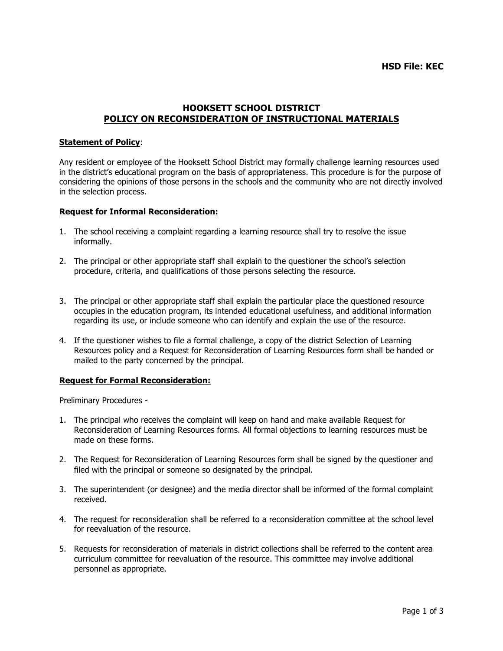## **HSD File: KEC**

# **HOOKSETT SCHOOL DISTRICT POLICY ON RECONSIDERATION OF INSTRUCTIONAL MATERIALS**

### **Statement of Policy**:

Any resident or employee of the Hooksett School District may formally challenge learning resources used in the district's educational program on the basis of appropriateness. This procedure is for the purpose of considering the opinions of those persons in the schools and the community who are not directly involved in the selection process.

#### **Request for Informal Reconsideration:**

- 1. The school receiving a complaint regarding a learning resource shall try to resolve the issue informally.
- 2. The principal or other appropriate staff shall explain to the questioner the school's selection procedure, criteria, and qualifications of those persons selecting the resource.
- 3. The principal or other appropriate staff shall explain the particular place the questioned resource occupies in the education program, its intended educational usefulness, and additional information regarding its use, or include someone who can identify and explain the use of the resource.
- 4. If the questioner wishes to file a formal challenge, a copy of the district Selection of Learning Resources policy and a Request for Reconsideration of Learning Resources form shall be handed or mailed to the party concerned by the principal.

#### **Request for Formal Reconsideration:**

Preliminary Procedures -

- 1. The principal who receives the complaint will keep on hand and make available Request for Reconsideration of Learning Resources forms. All formal objections to learning resources must be made on these forms.
- 2. The Request for Reconsideration of Learning Resources form shall be signed by the questioner and filed with the principal or someone so designated by the principal.
- 3. The superintendent (or designee) and the media director shall be informed of the formal complaint received.
- 4. The request for reconsideration shall be referred to a reconsideration committee at the school level for reevaluation of the resource.
- 5. Requests for reconsideration of materials in district collections shall be referred to the content area curriculum committee for reevaluation of the resource. This committee may involve additional personnel as appropriate.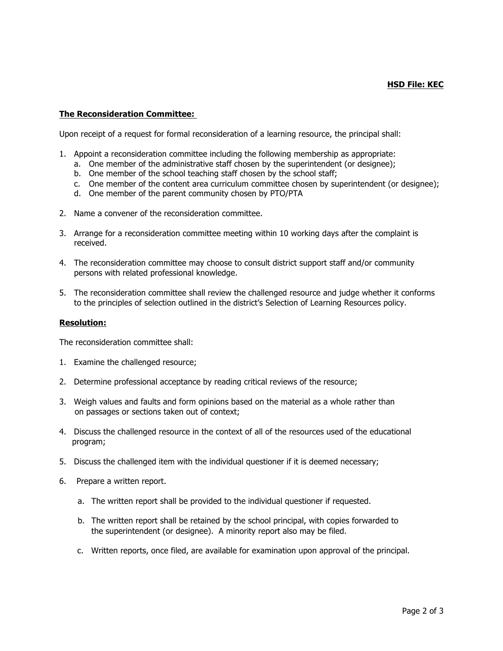### **HSD File: KEC**

## **The Reconsideration Committee:**

Upon receipt of a request for formal reconsideration of a learning resource, the principal shall:

- 1. Appoint a reconsideration committee including the following membership as appropriate:
	- a. One member of the administrative staff chosen by the superintendent (or designee);
	- b. One member of the school teaching staff chosen by the school staff;
	- c. One member of the content area curriculum committee chosen by superintendent (or designee);
	- d. One member of the parent community chosen by PTO/PTA
- 2. Name a convener of the reconsideration committee.
- 3. Arrange for a reconsideration committee meeting within 10 working days after the complaint is received.
- 4. The reconsideration committee may choose to consult district support staff and/or community persons with related professional knowledge.
- 5. The reconsideration committee shall review the challenged resource and judge whether it conforms to the principles of selection outlined in the district's Selection of Learning Resources policy.

#### **Resolution:**

The reconsideration committee shall:

- 1. Examine the challenged resource;
- 2. Determine professional acceptance by reading critical reviews of the resource;
- 3. Weigh values and faults and form opinions based on the material as a whole rather than on passages or sections taken out of context;
- 4. Discuss the challenged resource in the context of all of the resources used of the educational program;
- 5. Discuss the challenged item with the individual questioner if it is deemed necessary;
- 6. Prepare a written report.
	- a. The written report shall be provided to the individual questioner if requested.
	- b. The written report shall be retained by the school principal, with copies forwarded to the superintendent (or designee). A minority report also may be filed.
	- c. Written reports, once filed, are available for examination upon approval of the principal.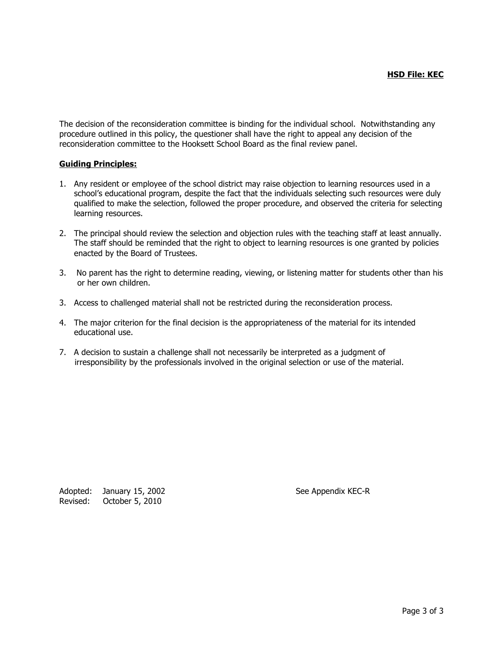The decision of the reconsideration committee is binding for the individual school. Notwithstanding any procedure outlined in this policy, the questioner shall have the right to appeal any decision of the reconsideration committee to the Hooksett School Board as the final review panel.

## **Guiding Principles:**

- 1. Any resident or employee of the school district may raise objection to learning resources used in a school's educational program, despite the fact that the individuals selecting such resources were duly qualified to make the selection, followed the proper procedure, and observed the criteria for selecting learning resources.
- 2. The principal should review the selection and objection rules with the teaching staff at least annually. The staff should be reminded that the right to object to learning resources is one granted by policies enacted by the Board of Trustees.
- 3. No parent has the right to determine reading, viewing, or listening matter for students other than his or her own children.
- 3. Access to challenged material shall not be restricted during the reconsideration process.
- 4. The major criterion for the final decision is the appropriateness of the material for its intended educational use.
- 7. A decision to sustain a challenge shall not necessarily be interpreted as a judgment of irresponsibility by the professionals involved in the original selection or use of the material.

Adopted: January 15, 2002 See Appendix KEC-R Revised: October 5, 2010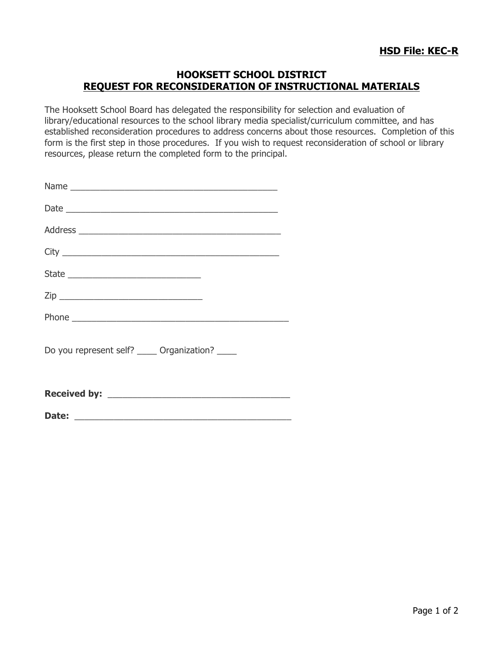# **HOOKSETT SCHOOL DISTRICT REQUEST FOR RECONSIDERATION OF INSTRUCTIONAL MATERIALS**

The Hooksett School Board has delegated the responsibility for selection and evaluation of library/educational resources to the school library media specialist/curriculum committee, and has established reconsideration procedures to address concerns about those resources. Completion of this form is the first step in those procedures. If you wish to request reconsideration of school or library resources, please return the completed form to the principal.

| Do you represent self? _____ Organization? ____ |
|-------------------------------------------------|
|                                                 |
|                                                 |